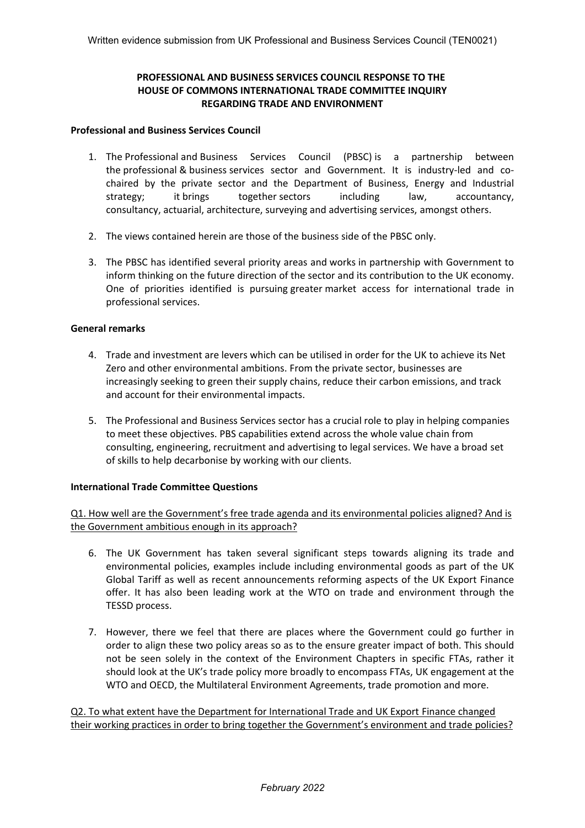# **PROFESSIONAL AND BUSINESS SERVICES COUNCIL RESPONSE TO THE HOUSE OF COMMONS INTERNATIONAL TRADE COMMITTEE INQUIRY REGARDING TRADE AND ENVIRONMENT**

## **Professional and Business Services Council**

- 1. The Professional and Business Services Council (PBSC) is a partnership between the professional & business services sector and Government. It is industry-led and cochaired by the private sector and the Department of Business, Energy and Industrial strategy; it brings together sectors including law, accountancy, consultancy, actuarial, architecture, surveying and advertising services, amongst others.
- 2. The views contained herein are those of the business side of the PBSC only.
- 3. The PBSC has identified several priority areas and works in partnership with Government to inform thinking on the future direction of the sector and its contribution to the UK economy. One of priorities identified is pursuing greater market access for international trade in professional services.

## **General remarks**

- 4. Trade and investment are levers which can be utilised in order for the UK to achieve its Net Zero and other environmental ambitions. From the private sector, businesses are increasingly seeking to green their supply chains, reduce their carbon emissions, and track and account for their environmental impacts.
- 5. The Professional and Business Services sector has a crucial role to play in helping companies to meet these objectives. PBS capabilities extend across the whole value chain from consulting, engineering, recruitment and advertising to legal services. We have a broad set of skills to help decarbonise by working with our clients.

## **International Trade Committee Questions**

Q1. How well are the Government's free trade agenda and its environmental policies aligned? And is the Government ambitious enough in its approach?

- 6. The UK Government has taken several significant steps towards aligning its trade and environmental policies, examples include including environmental goods as part of the UK Global Tariff as well as recent announcements reforming aspects of the UK Export Finance offer. It has also been leading work at the WTO on trade and environment through the TESSD process.
- 7. However, there we feel that there are places where the Government could go further in order to align these two policy areas so as to the ensure greater impact of both. This should not be seen solely in the context of the Environment Chapters in specific FTAs, rather it should look at the UK's trade policy more broadly to encompass FTAs, UK engagement at the WTO and OECD, the Multilateral Environment Agreements, trade promotion and more.

Q2. To what extent have the Department for International Trade and UK Export Finance changed their working practices in order to bring together the Government's environment and trade policies?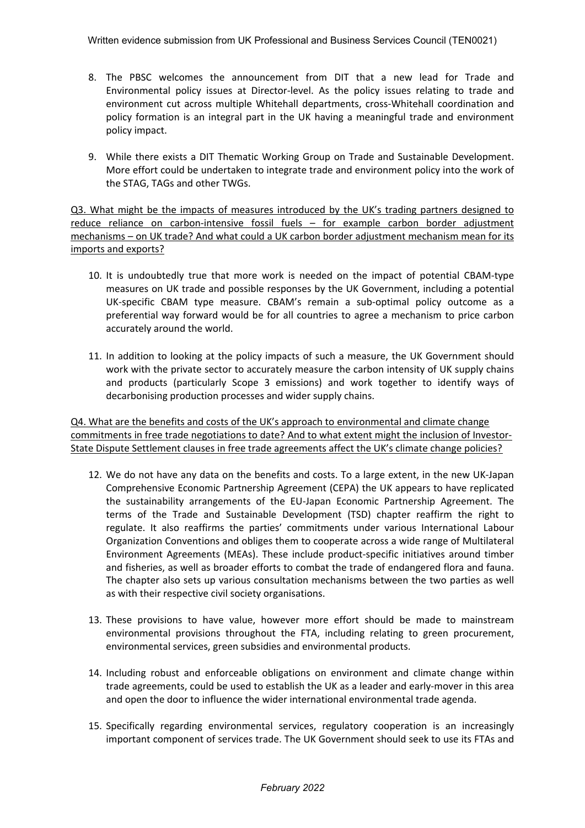- 8. The PBSC welcomes the announcement from DIT that a new lead for Trade and Environmental policy issues at Director-level. As the policy issues relating to trade and environment cut across multiple Whitehall departments, cross-Whitehall coordination and policy formation is an integral part in the UK having a meaningful trade and environment policy impact.
- 9. While there exists a DIT Thematic Working Group on Trade and Sustainable Development. More effort could be undertaken to integrate trade and environment policy into the work of the STAG, TAGs and other TWGs.

Q3. What might be the impacts of measures introduced by the UK's trading partners designed to reduce reliance on carbon-intensive fossil fuels – for example carbon border adjustment mechanisms – on UK trade? And what could a UK carbon border adjustment mechanism mean for its imports and exports?

- 10. It is undoubtedly true that more work is needed on the impact of potential CBAM-type measures on UK trade and possible responses by the UK Government, including a potential UK-specific CBAM type measure. CBAM's remain a sub-optimal policy outcome as a preferential way forward would be for all countries to agree a mechanism to price carbon accurately around the world.
- 11. In addition to looking at the policy impacts of such a measure, the UK Government should work with the private sector to accurately measure the carbon intensity of UK supply chains and products (particularly Scope 3 emissions) and work together to identify ways of decarbonising production processes and wider supply chains.

Q4. What are the benefits and costs of the UK's approach to environmental and climate change commitments in free trade negotiations to date? And to what extent might the inclusion of Investor-State Dispute Settlement clauses in free trade agreements affect the UK's climate change policies?

- 12. We do not have any data on the benefits and costs. To a large extent, in the new UK-Japan Comprehensive Economic Partnership Agreement (CEPA) the UK appears to have replicated the sustainability arrangements of the EU-Japan Economic Partnership Agreement. The terms of the Trade and Sustainable Development (TSD) chapter reaffirm the right to regulate. It also reaffirms the parties' commitments under various International Labour Organization Conventions and obliges them to cooperate across a wide range of Multilateral Environment Agreements (MEAs). These include product-specific initiatives around timber and fisheries, as well as broader efforts to combat the trade of endangered flora and fauna. The chapter also sets up various consultation mechanisms between the two parties as well as with their respective civil society organisations.
- 13. These provisions to have value, however more effort should be made to mainstream environmental provisions throughout the FTA, including relating to green procurement, environmental services, green subsidies and environmental products.
- 14. Including robust and enforceable obligations on environment and climate change within trade agreements, could be used to establish the UK as a leader and early-mover in this area and open the door to influence the wider international environmental trade agenda.
- 15. Specifically regarding environmental services, regulatory cooperation is an increasingly important component of services trade. The UK Government should seek to use its FTAs and